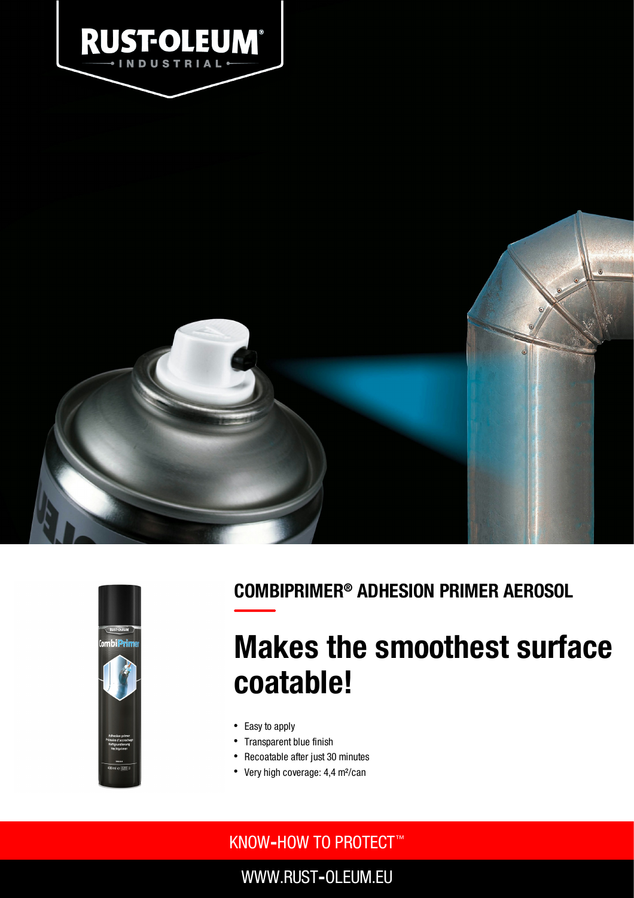



### COMBIPRIMER® ADHESION PRIMER AEROSOL

# Makes the smoothest surface coatable!

- Easy to apply
- Transparent blue finish
- Recoatable after just 30 minutes
- Very high coverage: 4,4 m<sup>2</sup>/can

### KNOW**‐**HOW TO PROTECT ™

WWW.RUST**‐**OLEUM.EU